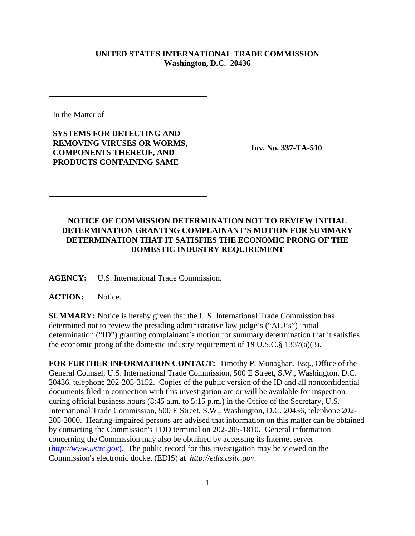## **UNITED STATES INTERNATIONAL TRADE COMMISSION Washington, D.C. 20436**

In the Matter of

## **SYSTEMS FOR DETECTING AND REMOVING VIRUSES OR WORMS, COMPONENTS THEREOF, AND PRODUCTS CONTAINING SAME**

**Inv. No. 337-TA-510**

## **NOTICE OF COMMISSION DETERMINATION NOT TO REVIEW INITIAL DETERMINATION GRANTING COMPLAINANT'S MOTION FOR SUMMARY DETERMINATION THAT IT SATISFIES THE ECONOMIC PRONG OF THE DOMESTIC INDUSTRY REQUIREMENT**

**AGENCY:** U.S. International Trade Commission.

## **ACTION:** Notice.

**SUMMARY:** Notice is hereby given that the U.S. International Trade Commission has determined not to review the presiding administrative law judge's ("ALJ's") initial determination ("ID") granting complainant's motion for summary determination that it satisfies the economic prong of the domestic industry requirement of 19 U.S.C.§ 1337(a)(3).

**FOR FURTHER INFORMATION CONTACT:** Timothy P. Monaghan, Esq., Office of the General Counsel, U.S. International Trade Commission, 500 E Street, S.W., Washington, D.C. 20436, telephone 202-205-3152. Copies of the public version of the ID and all nonconfidential documents filed in connection with this investigation are or will be available for inspection during official business hours (8:45 a.m. to 5:15 p.m.) in the Office of the Secretary, U.S. International Trade Commission, 500 E Street, S.W., Washington, D.C. 20436, telephone 202- 205-2000. Hearing-impaired persons are advised that information on this matter can be obtained by contacting the Commission's TDD terminal on 202-205-1810. General information concerning the Commission may also be obtained by accessing its Internet server (*http://www.usitc.gov*). The public record for this investigation may be viewed on the Commission's electronic docket (EDIS) at *http://edis.usitc.gov*.